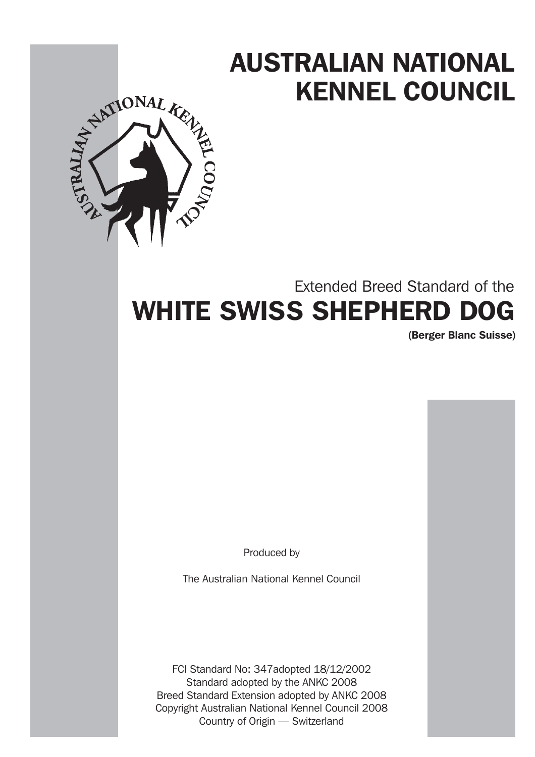# AUSTRALIAN NATIONAL KENNEL COUNCIL



## Extended Breed Standard of the WHITE SWISS SHEPHERD DOG

(Berger Blanc Suisse)

Produced by

The Australian National Kennel Council

FCI Standard No: 347adopted 18/12/2002 Standard adopted by the ANKC 2008 Breed Standard Extension adopted by ANKC 2008 Copyright Australian National Kennel Council 2008 Country of Origin — Switzerland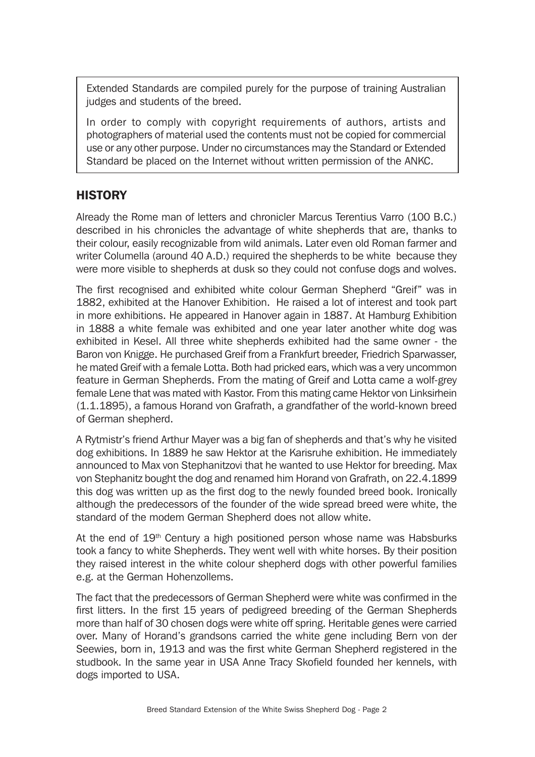Extended Standards are compiled purely for the purpose of training Australian judges and students of the breed.

In order to comply with copyright requirements of authors, artists and photographers of material used the contents must not be copied for commercial use or any other purpose. Under no circumstances may the Standard or Extended Standard be placed on the Internet without written permission of the ANKC.

## **HISTORY**

Already the Rome man of letters and chronicler Marcus Terentius Varro (100 B.C.) described in his chronicles the advantage of white shepherds that are, thanks to their colour, easily recognizable from wild animals. Later even old Roman farmer and writer Columella (around 40 A.D.) required the shepherds to be white because they were more visible to shepherds at dusk so they could not confuse dogs and wolves.

The first recognised and exhibited white colour German Shepherd "Greif" was in 1882, exhibited at the Hanover Exhibition. He raised a lot of interest and took part in more exhibitions. He appeared in Hanover again in 1887. At Hamburg Exhibition in 1888 a white female was exhibited and one year later another white dog was exhibited in Kesel. All three white shepherds exhibited had the same owner - the Baron von Knigge. He purchased Greif from a Frankfurt breeder, Friedrich Sparwasser, he mated Greif with a female Lotta. Both had pricked ears, which was a very uncommon feature in German Shepherds. From the mating of Greif and Lotta came a wolf-grey female Lene that was mated with Kastor. From this mating came Hektor von Linksirhein (1.1.1895), a famous Horand von Grafrath, a grandfather of the world-known breed of German shepherd.

A Rytmistr's friend Arthur Mayer was a big fan of shepherds and that's why he visited dog exhibitions. In 1889 he saw Hektor at the Karisruhe exhibition. He immediately announced to Max von Stephanitzovi that he wanted to use Hektor for breeding. Max von Stephanitz bought the dog and renamed him Horand von Grafrath, on 22.4.1899 this dog was written up as the first dog to the newly founded breed book. Ironically although the predecessors of the founder of the wide spread breed were white, the standard of the modem German Shepherd does not allow white.

At the end of  $19<sup>th</sup>$  Century a high positioned person whose name was Habsburks took a fancy to white Shepherds. They went well with white horses. By their position they raised interest in the white colour shepherd dogs with other powerful families e.g. at the German Hohenzollems.

The fact that the predecessors of German Shepherd were white was confirmed in the first litters. In the first 15 years of pedigreed breeding of the German Shepherds more than half of 30 chosen dogs were white off spring. Heritable genes were carried over. Many of Horand's grandsons carried the white gene including Bern von der Seewies, born in, 1913 and was the first white German Shepherd registered in the studbook. In the same year in USA Anne Tracy Skofield founded her kennels, with dogs imported to USA.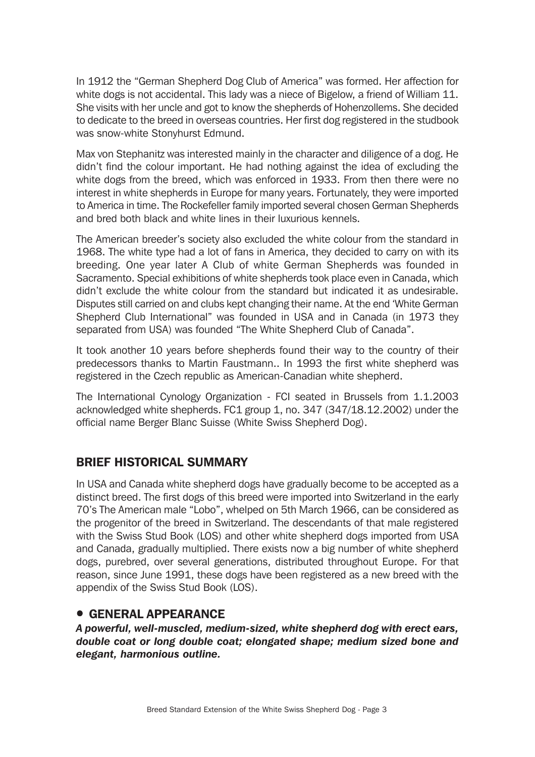In 1912 the "German Shepherd Dog Club of America" was formed. Her affection for white dogs is not accidental. This lady was a niece of Bigelow, a friend of William 11. She visits with her uncle and got to know the shepherds of Hohenzollems. She decided to dedicate to the breed in overseas countries. Her first dog registered in the studbook was snow-white Stonyhurst Edmund.

Max von Stephanitz was interested mainly in the character and diligence of a dog. He didn't find the colour important. He had nothing against the idea of excluding the white dogs from the breed, which was enforced in 1933. From then there were no interest in white shepherds in Europe for many years. Fortunately, they were imported to America in time. The Rockefeller family imported several chosen German Shepherds and bred both black and white lines in their luxurious kennels.

The American breeder's society also excluded the white colour from the standard in 1968. The white type had a lot of fans in America, they decided to carry on with its breeding. One year later A Club of white German Shepherds was founded in Sacramento. Special exhibitions of white shepherds took place even in Canada, which didn't exclude the white colour from the standard but indicated it as undesirable. Disputes still carried on and clubs kept changing their name. At the end 'White German Shepherd Club International" was founded in USA and in Canada (in 1973 they separated from USA) was founded "The White Shepherd Club of Canada".

It took another 10 years before shepherds found their way to the country of their predecessors thanks to Martin Faustmann.. In 1993 the first white shepherd was registered in the Czech republic as American-Canadian white shepherd.

The International Cynology Organization - FCI seated in Brussels from 1.1.2003 acknowledged white shepherds. FC1 group 1, no. 347 (347/18.12.2002) under the official name Berger Blanc Suisse (White Swiss Shepherd Dog).

## BRIEF HISTORICAL SUMMARY

In USA and Canada white shepherd dogs have gradually become to be accepted as a distinct breed. The first dogs of this breed were imported into Switzerland in the early 70's The American male "Lobo", whelped on 5th March 1966, can be considered as the progenitor of the breed in Switzerland. The descendants of that male registered with the Swiss Stud Book (LOS) and other white shepherd dogs imported from USA and Canada, gradually multiplied. There exists now a big number of white shepherd dogs, purebred, over several generations, distributed throughout Europe. For that reason, since June 1991, these dogs have been registered as a new breed with the appendix of the Swiss Stud Book (LOS).

## **• GENERAL APPEARANCE**

*A powerful, well-muscled, medium-sized, white shepherd dog with erect ears, double coat or long double coat; elongated shape; medium sized bone and elegant, harmonious outline.*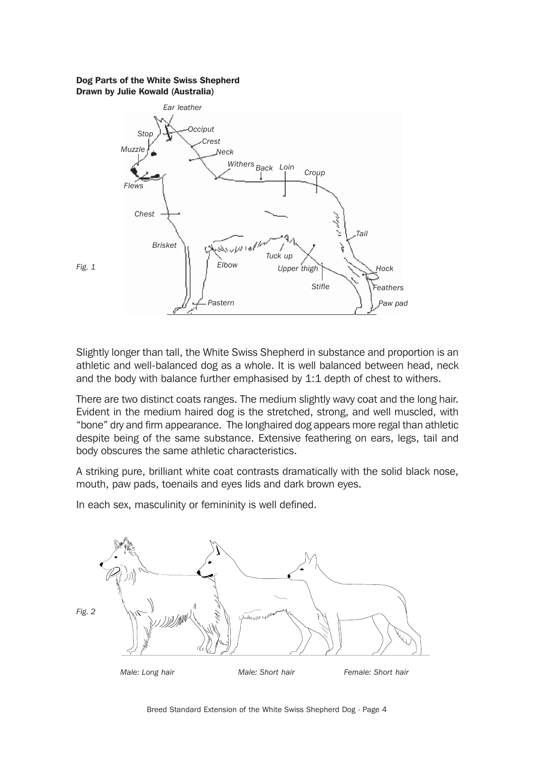#### Dog Parts of the White Swiss Shepherd Drawn by Julie Kowald (Australia)



Slightly longer than tall, the White Swiss Shepherd in substance and proportion is an athletic and well-balanced dog as a whole. It is well balanced between head, neck and the body with balance further emphasised by 1:1 depth of chest to withers.

There are two distinct coats ranges. The medium slightly wavy coat and the long hair. Evident in the medium haired dog is the stretched, strong, and well muscled, with "bone" dry and firm appearance. The longhaired dog appears more regal than athletic despite being of the same substance. Extensive feathering on ears, legs, tail and body obscures the same athletic characteristics.

A striking pure, brilliant white coat contrasts dramatically with the solid black nose, mouth, paw pads, toenails and eyes lids and dark brown eyes.

In each sex, masculinity or femininity is well defined.

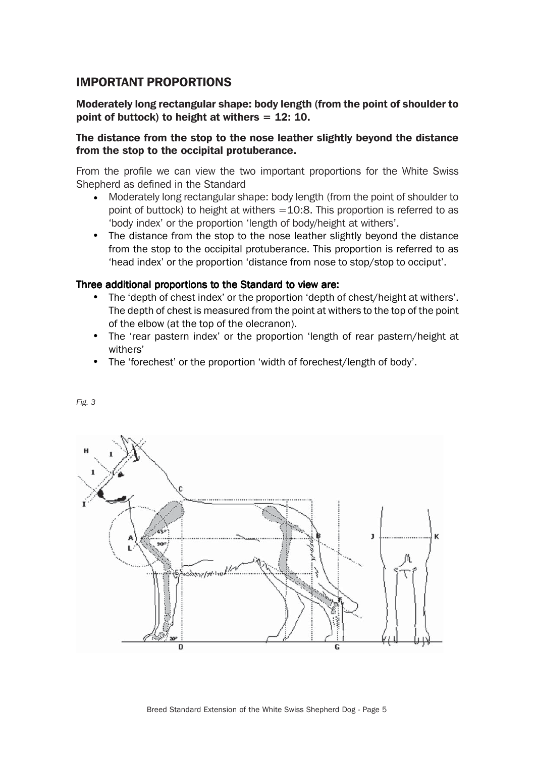## IMPORTANT PROPORTIONS

#### Moderately long rectangular shape: body length (from the point of shoulder to point of buttock) to height at withers  $= 12: 10$ .

#### The distance from the stop to the nose leather slightly beyond the distance from the stop to the occipital protuberance.

From the profile we can view the two important proportions for the White Swiss Shepherd as defined in the Standard

- Moderately long rectangular shape: body length (from the point of shoulder to point of buttock) to height at withers  $=10:8$ . This proportion is referred to as 'body index' or the proportion 'length of body/height at withers'. •
- The distance from the stop to the nose leather slightly beyond the distance from the stop to the occipital protuberance. This proportion is referred to as 'head index' or the proportion 'distance from nose to stop/stop to occiput'.

#### Three additional proportions to the Standard to view are:

- The 'depth of chest index' or the proportion 'depth of chest/height at withers'. The depth of chest is measured from the point at withers to the top of the point of the elbow (at the top of the olecranon).
- The 'rear pastern index' or the proportion 'length of rear pastern/height at withers'
- The 'forechest' or the proportion 'width of forechest/length of body'.



*Fig. 3*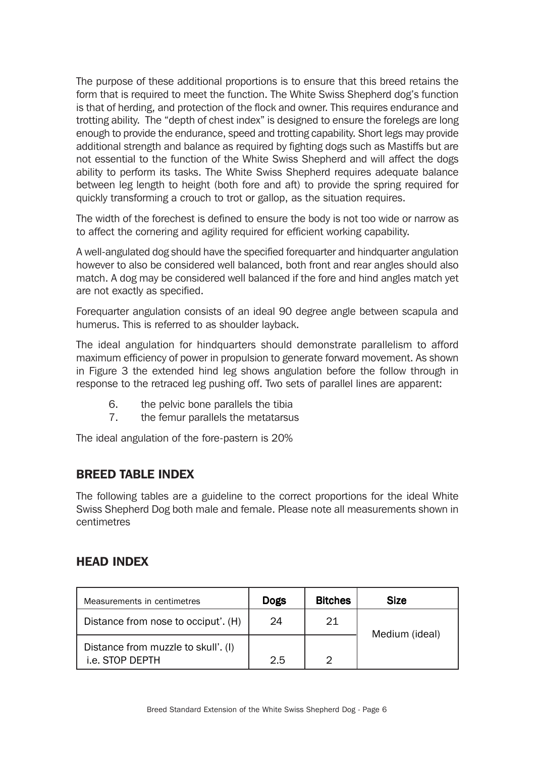The purpose of these additional proportions is to ensure that this breed retains the form that is required to meet the function. The White Swiss Shepherd dog's function is that of herding, and protection of the flock and owner. This requires endurance and trotting ability. The "depth of chest index" is designed to ensure the forelegs are long enough to provide the endurance, speed and trotting capability. Short legs may provide additional strength and balance as required by fighting dogs such as Mastiffs but are not essential to the function of the White Swiss Shepherd and will affect the dogs ability to perform its tasks. The White Swiss Shepherd requires adequate balance between leg length to height (both fore and aft) to provide the spring required for quickly transforming a crouch to trot or gallop, as the situation requires.

The width of the forechest is defined to ensure the body is not too wide or narrow as to affect the cornering and agility required for efficient working capability.

A well-angulated dog should have the specified forequarter and hindquarter angulation however to also be considered well balanced, both front and rear angles should also match. A dog may be considered well balanced if the fore and hind angles match yet are not exactly as specified.

Forequarter angulation consists of an ideal 90 degree angle between scapula and humerus. This is referred to as shoulder layback.

The ideal angulation for hindquarters should demonstrate parallelism to afford maximum efficiency of power in propulsion to generate forward movement. As shown in Figure 3 the extended hind leg shows angulation before the follow through in response to the retraced leg pushing off. Two sets of parallel lines are apparent:

- 6. the pelvic bone parallels the tibia
- 7. the femur parallels the metatarsus

The ideal angulation of the fore-pastern is 20%

## BREED TABLE INDEX

The following tables are a guideline to the correct proportions for the ideal White Swiss Shepherd Dog both male and female. Please note all measurements shown in centimetres

## HEAD INDEX

| Measurements in centimetres                            | <b>Dogs</b> | <b>Bitches</b> | <b>Size</b>    |
|--------------------------------------------------------|-------------|----------------|----------------|
| Distance from nose to occiput'. (H)                    | 24          | 21             | Medium (ideal) |
| Distance from muzzle to skull'. (I)<br>i.e. STOP DEPTH | 2.5         | ⌒              |                |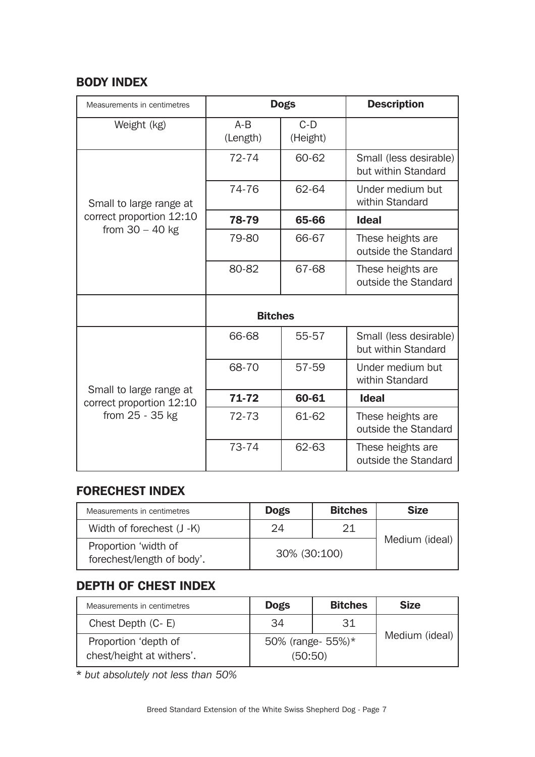## BODY INDEX

| Measurements in centimetres                                              | <b>Dogs</b>       |                   | <b>Description</b>                            |
|--------------------------------------------------------------------------|-------------------|-------------------|-----------------------------------------------|
| Weight (kg)                                                              | $A-B$<br>(Length) | $C-D$<br>(Height) |                                               |
| Small to large range at<br>correct proportion 12:10<br>from $30 - 40$ kg | $72 - 74$         | 60-62             | Small (less desirable)<br>but within Standard |
|                                                                          | 74-76             | 62-64             | Under medium but<br>within Standard           |
|                                                                          | 78-79             | 65-66             | <b>Ideal</b>                                  |
|                                                                          | 79-80             | 66-67             | These heights are<br>outside the Standard     |
|                                                                          | 80-82             | 67-68             | These heights are<br>outside the Standard     |
|                                                                          | <b>Bitches</b>    |                   |                                               |
| Small to large range at<br>correct proportion 12:10<br>from 25 - 35 kg   | 66-68             | 55-57             | Small (less desirable)<br>but within Standard |
|                                                                          | 68-70             | 57-59             | Under medium but<br>within Standard           |
|                                                                          | 71-72             | 60-61             | <b>Ideal</b>                                  |
|                                                                          | 72-73             | 61-62             | These heights are<br>outside the Standard     |
|                                                                          | 73-74             | 62-63             | These heights are<br>outside the Standard     |

## FORECHEST INDEX

| Measurements in centimetres                        | <b>Dogs</b>  | <b>Bitches</b> | <b>Size</b>    |
|----------------------------------------------------|--------------|----------------|----------------|
| Width of forechest (J -K)                          | 24           | 21             |                |
| Proportion 'width of<br>forechest/length of body'. | 30% (30:100) |                | Medium (ideal) |

## DEPTH OF CHEST INDEX

| Measurements in centimetres                       | <b>Dogs</b>                  | <b>Bitches</b> | <b>Size</b>    |
|---------------------------------------------------|------------------------------|----------------|----------------|
| Chest Depth (C-E)                                 | 34                           | 31             |                |
| Proportion 'depth of<br>chest/height at withers'. | 50% (range- 55%)*<br>(50:50) |                | Medium (ideal) |

\* *but absolutely not less than 50%*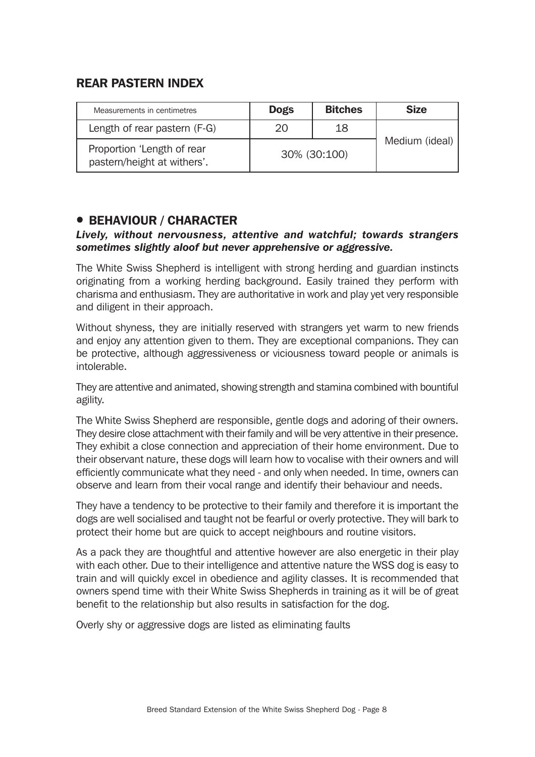## REAR PASTERN INDEX

| Measurements in centimetres                               | <b>Dogs</b>  | <b>Bitches</b> | <b>Size</b>    |
|-----------------------------------------------------------|--------------|----------------|----------------|
| Length of rear pastern (F-G)                              | 20           | 18             |                |
| Proportion 'Length of rear<br>pastern/height at withers'. | 30% (30:100) |                | Medium (ideal) |

## **• BEHAVIOUR / CHARACTER**

#### *Lively, without nervousness, attentive and watchful; towards strangers sometimes slightly aloof but never apprehensive or aggressive.*

The White Swiss Shepherd is intelligent with strong herding and guardian instincts originating from a working herding background. Easily trained they perform with charisma and enthusiasm. They are authoritative in work and play yet very responsible and diligent in their approach.

Without shyness, they are initially reserved with strangers yet warm to new friends and enjoy any attention given to them. They are exceptional companions. They can be protective, although aggressiveness or viciousness toward people or animals is intolerable.

They are attentive and animated, showing strength and stamina combined with bountiful agility.

The White Swiss Shepherd are responsible, gentle dogs and adoring of their owners. They desire close attachment with their family and will be very attentive in their presence. They exhibit a close connection and appreciation of their home environment. Due to their observant nature, these dogs will learn how to vocalise with their owners and will efficiently communicate what they need - and only when needed. In time, owners can observe and learn from their vocal range and identify their behaviour and needs.

They have a tendency to be protective to their family and therefore it is important the dogs are well socialised and taught not be fearful or overly protective. They will bark to protect their home but are quick to accept neighbours and routine visitors.

As a pack they are thoughtful and attentive however are also energetic in their play with each other. Due to their intelligence and attentive nature the WSS dog is easy to train and will quickly excel in obedience and agility classes. It is recommended that owners spend time with their White Swiss Shepherds in training as it will be of great benefit to the relationship but also results in satisfaction for the dog.

Overly shy or aggressive dogs are listed as eliminating faults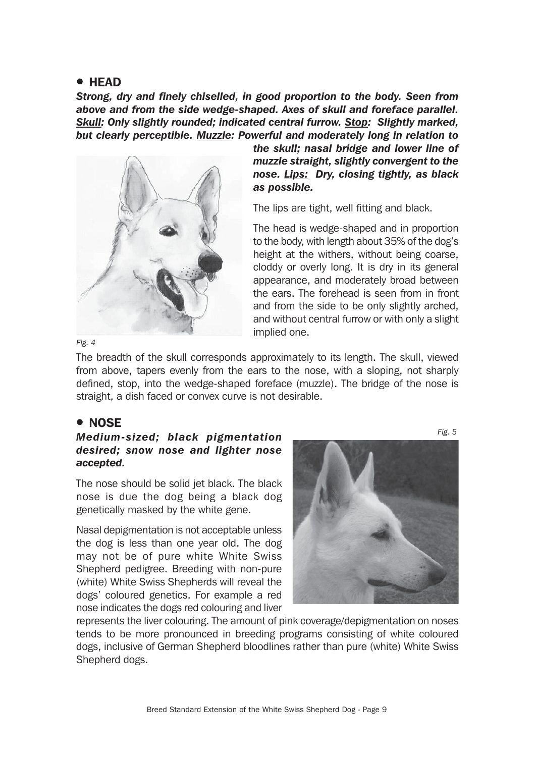#### **• HEAD**

*Strong, dry and finely chiselled, in good proportion to the body. Seen from above and from the side wedge-shaped. Axes of skull and foreface parallel. Skull: Only slightly rounded; indicated central furrow. Stop: Slightly marked, but clearly perceptible. Muzzle: Powerful and moderately long in relation to*

![](_page_8_Picture_2.jpeg)

*the skull; nasal bridge and lower line of muzzle straight, slightly convergent to the nose. Lips: Dry, closing tightly, as black as possible.*

The lips are tight, well fitting and black.

The head is wedge-shaped and in proportion to the body, with length about 35% of the dog's height at the withers, without being coarse, cloddy or overly long. It is dry in its general appearance, and moderately broad between the ears. The forehead is seen from in front and from the side to be only slightly arched, and without central furrow or with only a slight implied one.

*Fig. 4*

The breadth of the skull corresponds approximately to its length. The skull, viewed from above, tapers evenly from the ears to the nose, with a sloping, not sharply defined, stop, into the wedge-shaped foreface (muzzle). The bridge of the nose is straight, a dish faced or convex curve is not desirable.

#### ! NOSE

#### *Medium-sized; black pigmentation desired; snow nose and lighter nose accepted.*

The nose should be solid jet black. The black nose is due the dog being a black dog genetically masked by the white gene.

Nasal depigmentation is not acceptable unless the dog is less than one year old. The dog may not be of pure white White Swiss Shepherd pedigree. Breeding with non-pure (white) White Swiss Shepherds will reveal the dogs' coloured genetics. For example a red nose indicates the dogs red colouring and liver

![](_page_8_Picture_12.jpeg)

represents the liver colouring. The amount of pink coverage/depigmentation on noses tends to be more pronounced in breeding programs consisting of white coloured dogs, inclusive of German Shepherd bloodlines rather than pure (white) White Swiss Shepherd dogs.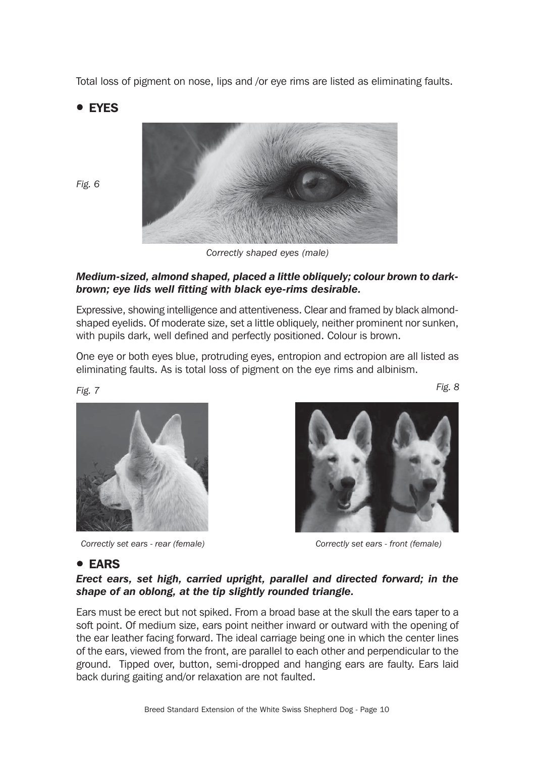Total loss of pigment on nose, lips and /or eye rims are listed as eliminating faults.

## **• EYES**

*Fig. 6*

![](_page_9_Picture_2.jpeg)

*Correctly shaped eyes (male)*

#### *Medium-sized, almond shaped, placed a little obliquely; colour brown to darkbrown; eye lids well fitting with black eye-rims desirable.*

Expressive, showing intelligence and attentiveness. Clear and framed by black almondshaped eyelids. Of moderate size, set a little obliquely, neither prominent nor sunken, with pupils dark, well defined and perfectly positioned. Colour is brown.

One eye or both eyes blue, protruding eyes, entropion and ectropion are all listed as eliminating faults. As is total loss of pigment on the eye rims and albinism.

*Fig. 7 Fig. 8*

![](_page_9_Picture_8.jpeg)

*Correctly set ears - rear (female) Correctly set ears - front (female)*

#### **• EARS**

#### *Erect ears, set high, carried upright, parallel and directed forward; in the shape of an oblong, at the tip slightly rounded triangle.*

Ears must be erect but not spiked. From a broad base at the skull the ears taper to a soft point. Of medium size, ears point neither inward or outward with the opening of the ear leather facing forward. The ideal carriage being one in which the center lines of the ears, viewed from the front, are parallel to each other and perpendicular to the ground. Tipped over, button, semi-dropped and hanging ears are faulty. Ears laid back during gaiting and/or relaxation are not faulted.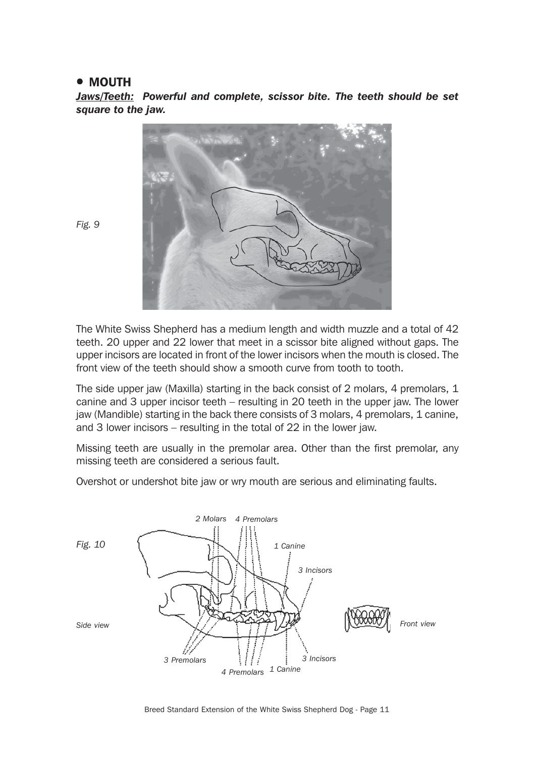#### • MOUTH

*Jaws/Teeth: Powerful and complete, scissor bite. The teeth should be set square to the jaw.*

![](_page_10_Picture_2.jpeg)

*Fig. 9*

The White Swiss Shepherd has a medium length and width muzzle and a total of 42 teeth. 20 upper and 22 lower that meet in a scissor bite aligned without gaps. The upper incisors are located in front of the lower incisors when the mouth is closed. The front view of the teeth should show a smooth curve from tooth to tooth.

The side upper jaw (Maxilla) starting in the back consist of 2 molars, 4 premolars, 1 canine and 3 upper incisor teeth – resulting in 20 teeth in the upper jaw. The lower jaw (Mandible) starting in the back there consists of 3 molars, 4 premolars, 1 canine, and 3 lower incisors – resulting in the total of 22 in the lower jaw.

Missing teeth are usually in the premolar area. Other than the first premolar, any missing teeth are considered a serious fault.

Overshot or undershot bite jaw or wry mouth are serious and eliminating faults.

![](_page_10_Figure_8.jpeg)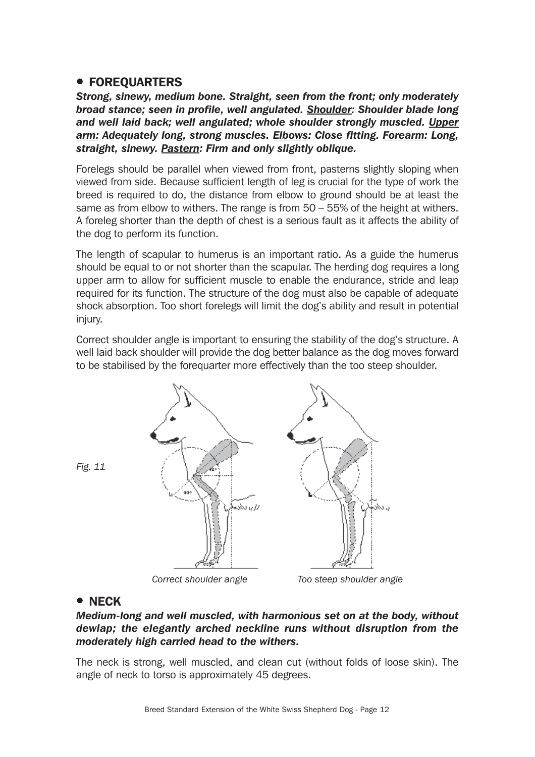## **• FOREQUARTERS**

*Strong, sinewy, medium bone. Straight, seen from the front; only moderately broad stance; seen in profile, well angulated. Shoulder: Shoulder blade long and well laid back; well angulated; whole shoulder strongly muscled. Upper arm: Adequately long, strong muscles. Elbows: Close fitting. Forearm: Long, straight, sinewy. Pastern: Firm and only slightly oblique.*

Forelegs should be parallel when viewed from front, pasterns slightly sloping when viewed from side. Because sufficient length of leg is crucial for the type of work the breed is required to do, the distance from elbow to ground should be at least the same as from elbow to withers. The range is from 50 – 55% of the height at withers. A foreleg shorter than the depth of chest is a serious fault as it affects the ability of the dog to perform its function.

The length of scapular to humerus is an important ratio. As a guide the humerus should be equal to or not shorter than the scapular. The herding dog requires a long upper arm to allow for sufficient muscle to enable the endurance, stride and leap required for its function. The structure of the dog must also be capable of adequate shock absorption. Too short forelegs will limit the dog's ability and result in potential injury.

Correct shoulder angle is important to ensuring the stability of the dog's structure. A well laid back shoulder will provide the dog better balance as the dog moves forward to be stabilised by the forequarter more effectively than the too steep shoulder.

![](_page_11_Figure_5.jpeg)

*Fig. 11*

 *Correct shoulder angle Too steep shoulder angle*

#### • NECK

#### *Medium-long and well muscled, with harmonious set on at the body, without dewlap; the elegantly arched neckline runs without disruption from the moderately high carried head to the withers.*

The neck is strong, well muscled, and clean cut (without folds of loose skin). The angle of neck to torso is approximately 45 degrees.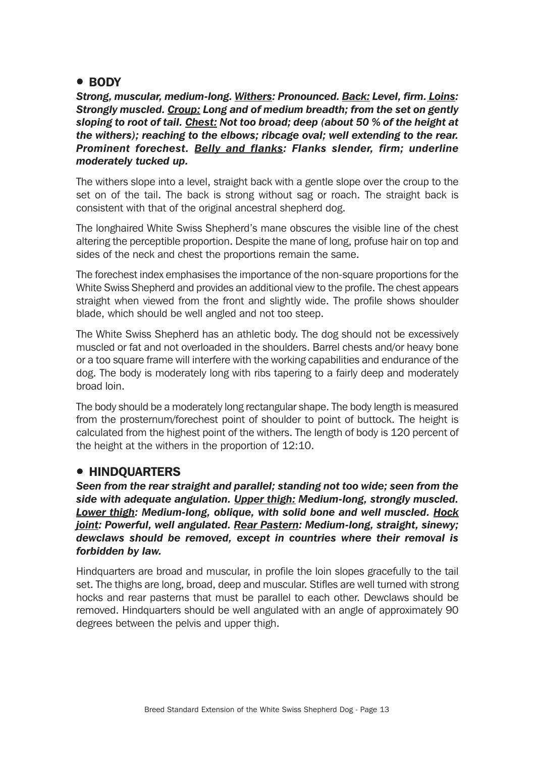### • BODY

*Strong, muscular, medium-long. Withers: Pronounced. Back: Level, firm. Loins: Strongly muscled. Croup: Long and of medium breadth; from the set on gently sloping to root of tail. Chest: Not too broad; deep (about 50 % of the height at the withers); reaching to the elbows; ribcage oval; well extending to the rear. Prominent forechest. Belly and flanks: Flanks slender, firm; underline moderately tucked up.*

The withers slope into a level, straight back with a gentle slope over the croup to the set on of the tail. The back is strong without sag or roach. The straight back is consistent with that of the original ancestral shepherd dog.

The longhaired White Swiss Shepherd's mane obscures the visible line of the chest altering the perceptible proportion. Despite the mane of long, profuse hair on top and sides of the neck and chest the proportions remain the same.

The forechest index emphasises the importance of the non-square proportions for the White Swiss Shepherd and provides an additional view to the profile. The chest appears straight when viewed from the front and slightly wide. The profile shows shoulder blade, which should be well angled and not too steep.

The White Swiss Shepherd has an athletic body. The dog should not be excessively muscled or fat and not overloaded in the shoulders. Barrel chests and/or heavy bone or a too square frame will interfere with the working capabilities and endurance of the dog. The body is moderately long with ribs tapering to a fairly deep and moderately broad loin.

The body should be a moderately long rectangular shape. The body length is measured from the prosternum/forechest point of shoulder to point of buttock. The height is calculated from the highest point of the withers. The length of body is 120 percent of the height at the withers in the proportion of 12:10.

## **• HINDQUARTERS**

*Seen from the rear straight and parallel; standing not too wide; seen from the side with adequate angulation. Upper thigh: Medium-long, strongly muscled. Lower thigh: Medium-long, oblique, with solid bone and well muscled. Hock joint: Powerful, well angulated. Rear Pastern: Medium-long, straight, sinewy; dewclaws should be removed, except in countries where their removal is forbidden by law.*

Hindquarters are broad and muscular, in profile the loin slopes gracefully to the tail set. The thighs are long, broad, deep and muscular. Stifles are well turned with strong hocks and rear pasterns that must be parallel to each other. Dewclaws should be removed. Hindquarters should be well angulated with an angle of approximately 90 degrees between the pelvis and upper thigh.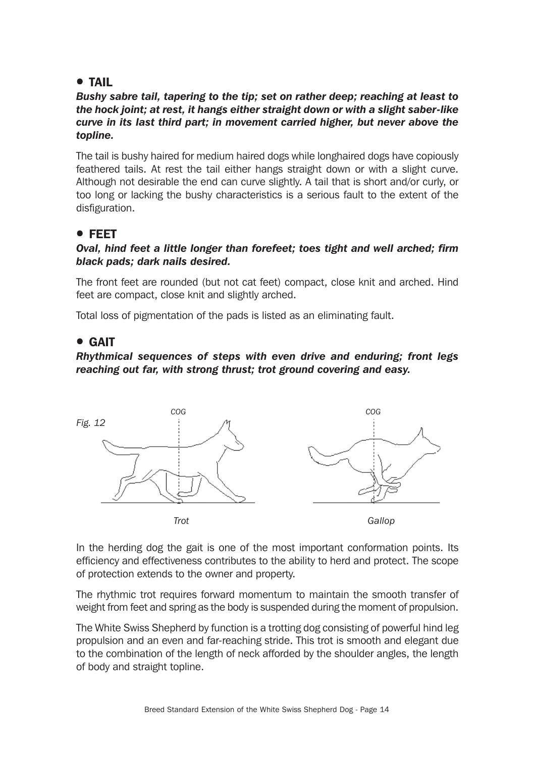## **• TAIL**

#### *Bushy sabre tail, tapering to the tip; set on rather deep; reaching at least to the hock joint; at rest, it hangs either straight down or with a slight saber-like curve in its last third part; in movement carried higher, but never above the topline.*

The tail is bushy haired for medium haired dogs while longhaired dogs have copiously feathered tails. At rest the tail either hangs straight down or with a slight curve. Although not desirable the end can curve slightly. A tail that is short and/or curly, or too long or lacking the bushy characteristics is a serious fault to the extent of the disfiguration.

## ! FEET

#### *Oval, hind feet a little longer than forefeet; toes tight and well arched; firm black pads; dark nails desired.*

The front feet are rounded (but not cat feet) compact, close knit and arched. Hind feet are compact, close knit and slightly arched.

Total loss of pigmentation of the pads is listed as an eliminating fault.

## ! GAIT

### *Rhythmical sequences of steps with even drive and enduring; front legs reaching out far, with strong thrust; trot ground covering and easy.*

![](_page_13_Figure_9.jpeg)

In the herding dog the gait is one of the most important conformation points. Its efficiency and effectiveness contributes to the ability to herd and protect. The scope of protection extends to the owner and property.

The rhythmic trot requires forward momentum to maintain the smooth transfer of weight from feet and spring as the body is suspended during the moment of propulsion.

The White Swiss Shepherd by function is a trotting dog consisting of powerful hind leg propulsion and an even and far-reaching stride. This trot is smooth and elegant due to the combination of the length of neck afforded by the shoulder angles, the length of body and straight topline.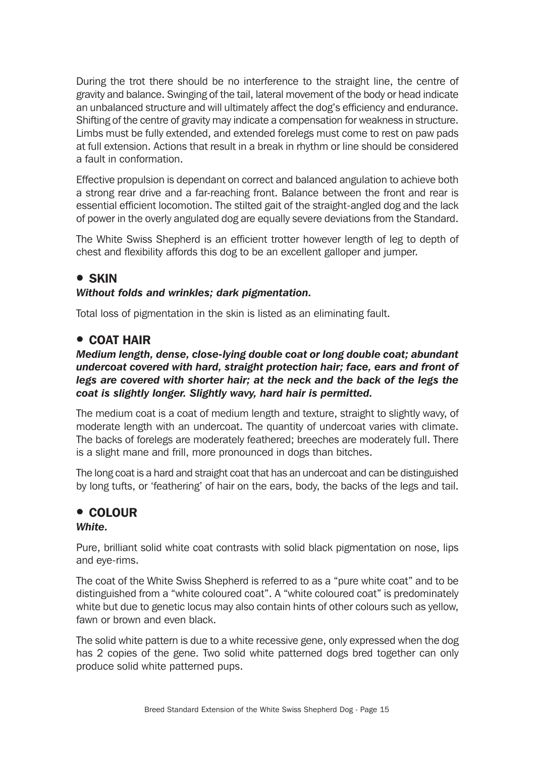During the trot there should be no interference to the straight line, the centre of gravity and balance. Swinging of the tail, lateral movement of the body or head indicate an unbalanced structure and will ultimately affect the dog's efficiency and endurance. Shifting of the centre of gravity may indicate a compensation for weakness in structure. Limbs must be fully extended, and extended forelegs must come to rest on paw pads at full extension. Actions that result in a break in rhythm or line should be considered a fault in conformation.

Effective propulsion is dependant on correct and balanced angulation to achieve both a strong rear drive and a far-reaching front. Balance between the front and rear is essential efficient locomotion. The stilted gait of the straight-angled dog and the lack of power in the overly angulated dog are equally severe deviations from the Standard.

The White Swiss Shepherd is an efficient trotter however length of leg to depth of chest and flexibility affords this dog to be an excellent galloper and jumper.

## **• SKIN**

### *Without folds and wrinkles; dark pigmentation.*

Total loss of pigmentation in the skin is listed as an eliminating fault.

## **• COAT HAIR**

#### *Medium length, dense, close-lying double coat or long double coat; abundant undercoat covered with hard, straight protection hair; face, ears and front of legs are covered with shorter hair; at the neck and the back of the legs the coat is slightly longer. Slightly wavy, hard hair is permitted.*

The medium coat is a coat of medium length and texture, straight to slightly wavy, of moderate length with an undercoat. The quantity of undercoat varies with climate. The backs of forelegs are moderately feathered; breeches are moderately full. There is a slight mane and frill, more pronounced in dogs than bitches.

The long coat is a hard and straight coat that has an undercoat and can be distinguished by long tufts, or 'feathering' of hair on the ears, body, the backs of the legs and tail.

## **• COLOUR**

#### *White.*

Pure, brilliant solid white coat contrasts with solid black pigmentation on nose, lips and eye-rims.

The coat of the White Swiss Shepherd is referred to as a "pure white coat" and to be distinguished from a "white coloured coat". A "white coloured coat" is predominately white but due to genetic locus may also contain hints of other colours such as yellow, fawn or brown and even black.

The solid white pattern is due to a white recessive gene, only expressed when the dog has 2 copies of the gene. Two solid white patterned dogs bred together can only produce solid white patterned pups.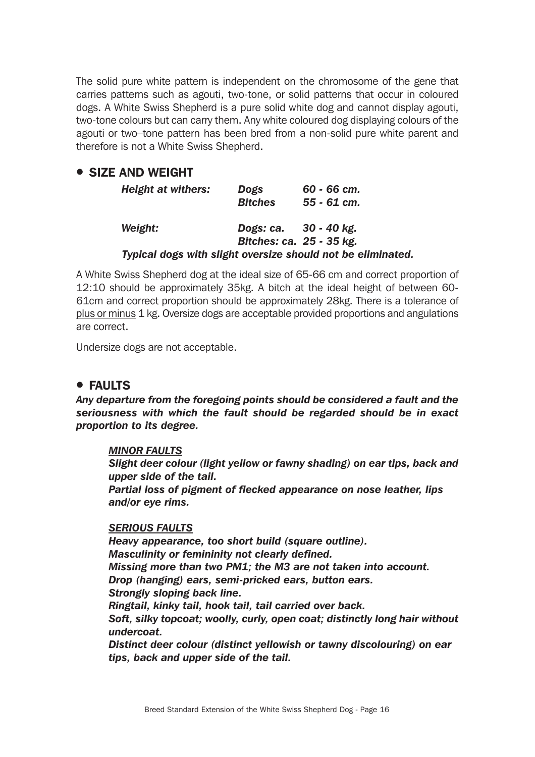The solid pure white pattern is independent on the chromosome of the gene that carries patterns such as agouti, two-tone, or solid patterns that occur in coloured dogs. A White Swiss Shepherd is a pure solid white dog and cannot display agouti, two-tone colours but can carry them. Any white coloured dog displaying colours of the agouti or two–tone pattern has been bred from a non-solid pure white parent and therefore is not a White Swiss Shepherd.

## **• SIZE AND WEIGHT**

|         | <b>Height at withers:</b> | Dogs<br><b>Bitches</b>   | $60 - 66$ cm.<br>$55 - 61$ cm.                              |
|---------|---------------------------|--------------------------|-------------------------------------------------------------|
| Weight: |                           | Dogs: ca. 30 - 40 kg.    |                                                             |
|         |                           | Bitches: ca. 25 - 35 kg. |                                                             |
|         |                           |                          | Typical dogs with slight oversize should not be eliminated. |

A White Swiss Shepherd dog at the ideal size of 65-66 cm and correct proportion of 12:10 should be approximately 35kg. A bitch at the ideal height of between 60- 61cm and correct proportion should be approximately 28kg. There is a tolerance of plus or minus 1 kg. Oversize dogs are acceptable provided proportions and angulations are correct.

Undersize dogs are not acceptable.

## ! FAULTS

*Any departure from the foregoing points should be considered a fault and the seriousness with which the fault should be regarded should be in exact proportion to its degree.*

#### *MINOR FAULTS*

*Slight deer colour (light yellow or fawny shading) on ear tips, back and upper side of the tail.*

*Partial loss of pigment of flecked appearance on nose leather, lips and/or eye rims.*

#### *SERIOUS FAULTS*

*Heavy appearance, too short build (square outline). Masculinity or femininity not clearly defined. Missing more than two PM1; the M3 are not taken into account. Drop (hanging) ears, semi-pricked ears, button ears. Strongly sloping back line. Ringtail, kinky tail, hook tail, tail carried over back. Soft, silky topcoat; woolly, curly, open coat; distinctly long hair without undercoat.*

*Distinct deer colour (distinct yellowish or tawny discolouring) on ear tips, back and upper side of the tail.*